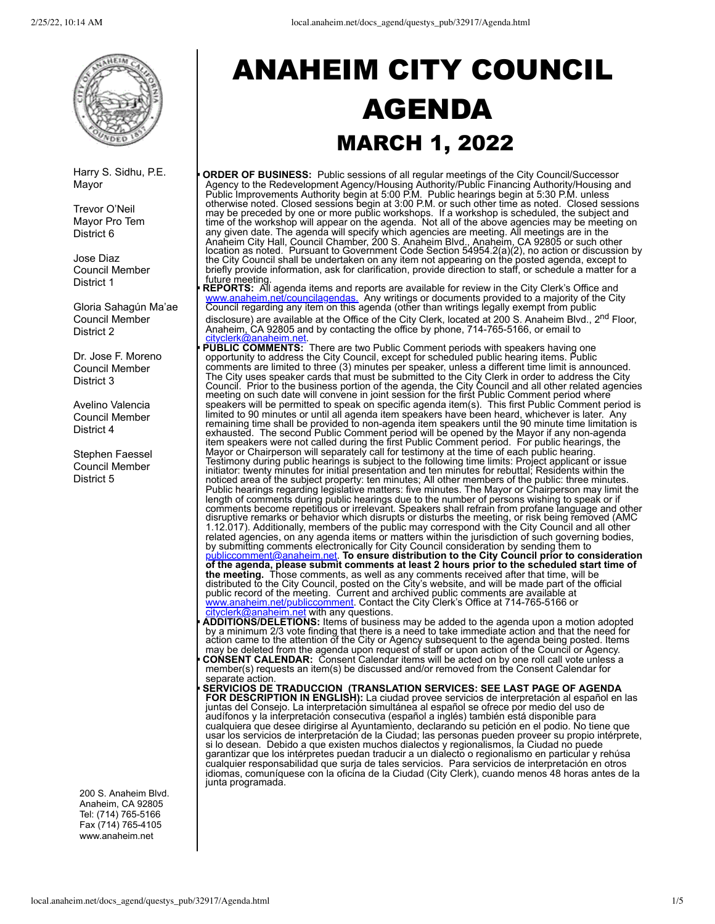

Harry S. Sidhu, P.E. Mayor

Trevor O'Neil Mayor Pro Tem District 6

Jose Diaz Council Member District 1

Gloria Sahagún Ma'ae Council Member District 2

Dr. Jose F. Moreno Council Member District 3

Avelino Valencia Council Member District 4

Stephen Faessel Council Member District 5

200 S. Anaheim Blvd. Anaheim, CA 92805 Tel: (714) 765-5166 Fax (714) 765-4105 www.anaheim.net

# ANAHEIM CITY COUNCIL AGENDA MARCH 1, 2022

§ **ORDER OF BUSINESS:** Public sessions of all regular meetings of the City Council/Successor Agency to the Redevelopment Agency/Housing Authority/Public Financing Authority/Housing and Public Improvements Authority begin at 5:00 P.M. Public hearings begin at 5:30 P.M. unless otherwise noted. Closed sessions begin at 3:00 P.M. or such other time as noted. Closed sessions may be preceded by one or more public workshops. If a workshop is scheduled, the subject and time of the workshop will appear on the agenda. Not all of the above agencies may be meeting on any given date. The agenda will specify which agencies are meeting. All meetings are in the Anaheim City Hall, Council Chamber, 200 S. Anaheim Blvd., Anaheim, CA 92805 or such other location as noted. Pursuant to Government Code Section 54954.2(a)(2), no action or discussion by the City Council shall be undertaken on any item not appearing on the posted agenda, except to briefly provide information, ask for clarification, provide direction to staff, or schedule a matter for a

**│ future meeting.**<br>▶ REPORTS: All agenda items and reports are available for review in the City Clerk's Office and [www.anaheim.net/councilagendas.](http://www.anaheim.net/councilagendas.) Any writings or documents provided to a majority of the City Council regarding any item on this agenda (other than writings legally exempt from public

disclosure) are available at the Office of the City Clerk, located at 200 S. Anaheim Blvd., 2<sup>nd</sup> Floor, Anaheim, CA 92805 and by contacting the office by phone, 714-765-5166, or email to [cityclerk@anaheim.net](mailto:cityclerk@anaheim.net)

**PUBLIC COMMENTS:** There are two Public Comment periods with speakers having one opportunity to address the City Council, except for scheduled public hearing items. Public comments are limited to three (3) minutes per speaker, unless a different time limit is announced. The City uses speaker cards that must be submitted to the City Clerk in order to address the City Council. Prior to the business portion of the agenda, the City Council and all other related agencies meeting on such date will convene in joint session for the first Public Comment period where speakers will be permitted to speak on specific agenda item(s). This first Public Comment period is limited to 90 minutes or until all agenda item speakers have been heard, whichever is later. Any remaining time shall be provided to non-agenda item speakers until the 90 minute time limitation is<br>exhausted. The second Public Comment period will be opened by the Mayor if any non-agenda item speakers were not called during the first Public Comment period. For public hearings, the Mayor or Chairperson will separately call for testimony at the time of each public hearing. Testimony during public hearings is subject to the following time limits: Project applicant or issue initiator: twenty minutes for initial presentation and ten minutes for rebuttal; Residents within the noticed area of the subject property: ten minutes; All other members of the public: three minutes. Public hearings regarding legislative matters: five minutes. The Mayor or Chairperson may limit the length of comments during public hearings due to the number of persons wishing to speak or if comments become repetitious or irrelevant. Speakers shall refrain from profane language and other disruptive remarks or behavior which disrupts or disturbs the meeting, or risk being removed (AMC 1.12.017). Additionally, members of the public may correspond with the City Council and all other related agencies, on any agenda items or matters within the jurisdiction of such governing bodies, by submitting comments electronically for City Council consideration by sending them to<br><u>publiccomment@anaheim.net</u>. **To ensure distribution to the City Council prior to consideration of the agenda, please submit comments at least 2 hours prior to the scheduled start time of the meeting.** Those comments, as well as any comments received after that time, will be distributed to the City Council, posted on the City's website, and will be made part of the official<br>public record of the meeting. Current and archived public comments are available at [www.anaheim.net/publiccomment.](https://gcc02.safelinks.protection.outlook.com/?url=http%3A%2F%2Fwww.anaheim.net%2Fpubliccomment&data=04%7C01%7CJHall2%40anaheim.net%7C89902fb7f05445e3903a08d8b36068dc%7C74c3739c502a49c68d212bbc30f56f22%7C0%7C0%7C637456573958406587%7CUnknown%7CTWFpbGZsb3d8eyJWIjoiMC4wLjAwMDAiLCJQIjoiV2luMzIiLCJBTiI6Ik1haWwiLCJXVCI6Mn0%3D%7C1000&sdata=lm5wdbmPZlIC4QSF0ustQ1Qw8nKO7c%2B%2FQCClQD5tKSA%3D&reserved=0) Contact the City Clerk's Office at 714-765-5166 or [cityclerk@anaheim.net](mailto:cityclerk@anaheim.net) with any questions.

**• ADDITIONS/DELETIONS:** Items of business may be added to the agenda upon a motion adopted by a minimum 2/3 vote finding that there is a need to take immediate action and that the need for action came to the attention of the City or Agency subsequent to the agenda being posted. Items may be deleted from the agenda upon request of staff or upon action of the Council or Agency. **CONSENT CALENDAR:** Consent Calendar items will be acted on by one roll call vote unless a member(s) requests an item(s) be discussed and/or removed from the Consent Calendar for separate action.

§ **SERVICIOS DE TRADUCCION (TRANSLATION SERVICES: SEE LAST PAGE OF AGENDA FOR DESCRIPTION IN ENGLISH):** La ciudad provee servicios de interpretación al español en las juntas del Consejo. La interpretación simultánea al español se ofrece por medio del uso de audífonos y la interpretación consecutiva (español a inglés) también está disponible para cualquiera que desee dirigirse al Ayuntamiento, declarando su petición en el podio. No tiene que usar los servicios de interpretación de la Ciudad; las personas pueden proveer su propio intérprete, si lo desean. Debido a que existen muchos dialectos y regionalismos, la Ciudad no puede garantizar que los intérpretes puedan traducir a un dialecto o regionalismo en particular y rehúsa cualquier responsabilidad que surja de tales servicios. Para servicios de interpretación en otros idiomas, comuníquese con la oficina de la Ciudad (City Clerk), cuando menos 48 horas antes de la junta programada.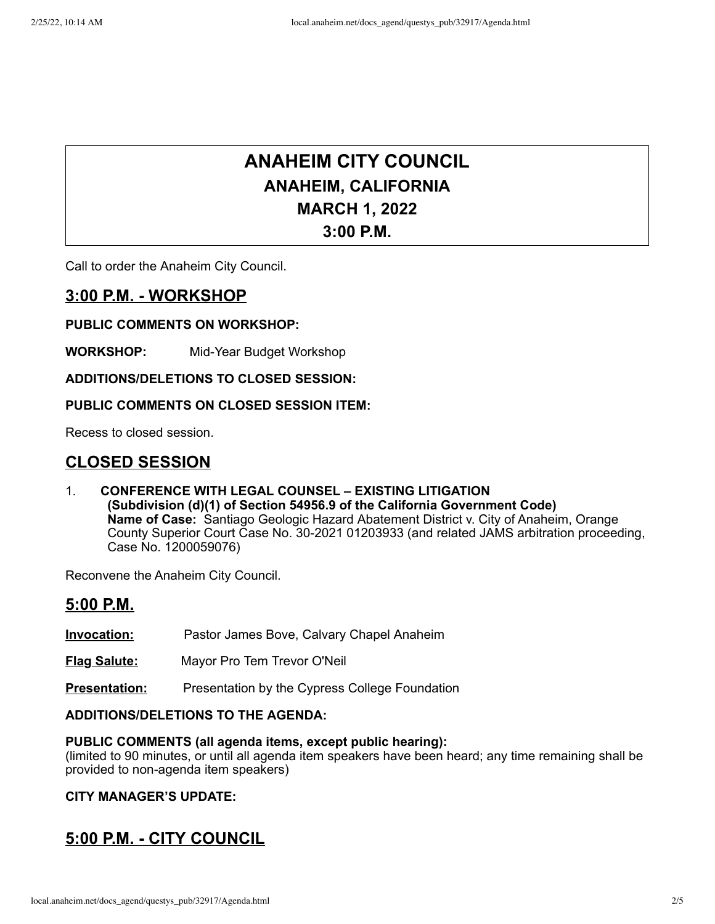# **ANAHEIM CITY COUNCIL ANAHEIM, CALIFORNIA MARCH 1, 2022 3:00 P.M.**

Call to order the Anaheim City Council.

# **3:00 P.M. - WORKSHOP**

### **PUBLIC COMMENTS ON WORKSHOP:**

**WORKSHOP:** Mid-Year Budget Workshop

**ADDITIONS/DELETIONS TO CLOSED SESSION:**

# **PUBLIC COMMENTS ON CLOSED SESSION ITEM:**

Recess to closed session.

# **CLOSED SESSION**

1. **CONFERENCE WITH LEGAL COUNSEL – EXISTING LITIGATION (Subdivision (d)(1) of Section 54956.9 of the California Government Code) Name of Case:** Santiago Geologic Hazard Abatement District v. City of Anaheim, Orange County Superior Court Case No. 30-2021 01203933 (and related JAMS arbitration proceeding, Case No. 1200059076)

Reconvene the Anaheim City Council.

# **5:00 P.M.**

**Invocation:** Pastor James Bove, Calvary Chapel Anaheim

**Flag Salute:** Mayor Pro Tem Trevor O'Neil

**Presentation:** Presentation by the Cypress College Foundation

### **ADDITIONS/DELETIONS TO THE AGENDA:**

#### **PUBLIC COMMENTS (all agenda items, except public hearing):**

(limited to 90 minutes, or until all agenda item speakers have been heard; any time remaining shall be provided to non-agenda item speakers)

# **CITY MANAGER'S UPDATE:**

# **5:00 P.M. - CITY COUNCIL**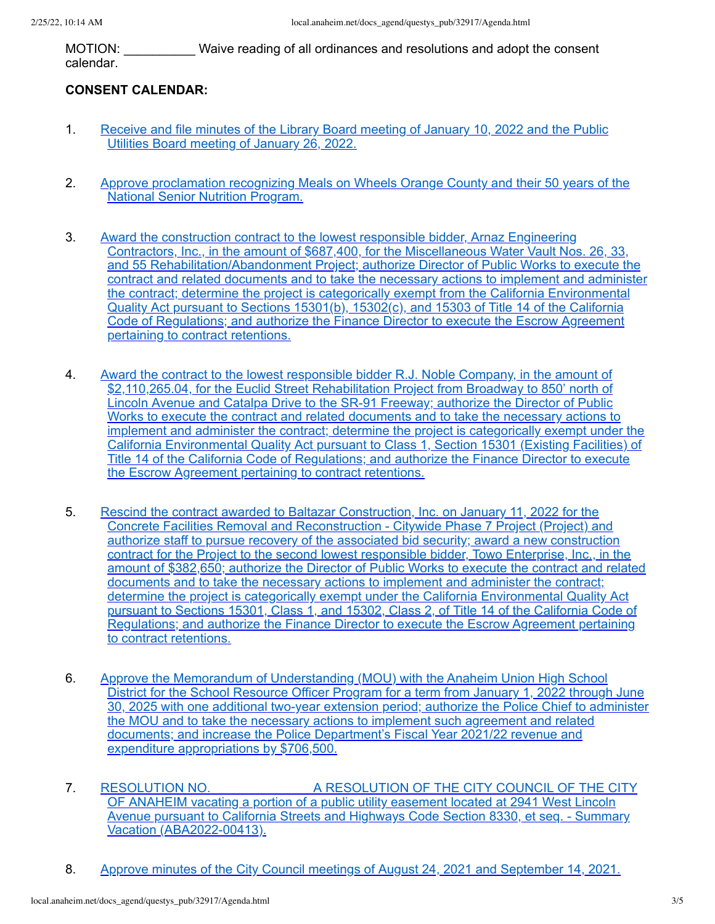MOTION: \_\_\_\_\_\_\_\_\_\_ Waive reading of all ordinances and resolutions and adopt the consent calendar.

# **CONSENT CALENDAR:**

- 1. [Receive](http://local.anaheim.net/docs_agend/questys_pub/32917/32947/32948/33042/Documents.htm) and file minutes of the Library Board meeting of January 10, 2022 and the Public Utilities Board meeting of January 26, 2022.
- 2. Approve [proclamation](http://local.anaheim.net/docs_agend/questys_pub/32917/32947/32948/33047/Documents.htm) recognizing Meals on Wheels Orange County and their 50 years of the National Senior Nutrition Program.
- 3. Award the construction contract to the lowest responsible bidder, Arnaz Engineering Contractors, Inc., in the amount of \$687,400, for the Miscellaneous Water Vault Nos. 26, 33, and 55 [Rehabilitation/Abandonment](http://local.anaheim.net/docs_agend/questys_pub/32917/32947/32948/33034/Documents.htm) Project; authorize Director of Public Works to execute the contract and related documents and to take the necessary actions to implement and administer the contract; determine the project is categorically exempt from the California Environmental Quality Act pursuant to Sections 15301(b), 15302(c), and 15303 of Title 14 of the California Code of Regulations; and authorize the Finance Director to execute the Escrow Agreement pertaining to contract retentions.
- 4. Award the contract to the lowest responsible bidder R.J. Noble Company, in the amount of [\\$2,110,265.04,](http://local.anaheim.net/docs_agend/questys_pub/32917/32947/32948/33026/Documents.htm) for the Euclid Street Rehabilitation Project from Broadway to 850' north of Lincoln Avenue and Catalpa Drive to the SR-91 Freeway; authorize the Director of Public Works to execute the contract and related documents and to take the necessary actions to implement and administer the contract; determine the project is categorically exempt under the California Environmental Quality Act pursuant to Class 1, Section 15301 (Existing Facilities) of Title 14 of the California Code of Regulations; and authorize the Finance Director to execute the Escrow Agreement pertaining to contract retentions.
- 5. Rescind the contract awarded to Baltazar Construction, Inc. on January 11, 2022 for the Concrete Facilities Removal and [Reconstruction](http://local.anaheim.net/docs_agend/questys_pub/32917/32947/32948/33038/Documents.htm) - Citywide Phase 7 Project (Project) and authorize staff to pursue recovery of the associated bid security; award a new construction contract for the Project to the second lowest responsible bidder, Towo Enterprise, Inc., in the amount of \$382,650; authorize the Director of Public Works to execute the contract and related documents and to take the necessary actions to implement and administer the contract; determine the project is categorically exempt under the California Environmental Quality Act pursuant to Sections 15301, Class 1, and 15302, Class 2, of Title 14 of the California Code of Regulations; and authorize the Finance Director to execute the Escrow Agreement pertaining to contract retentions.
- 6. Approve the Memorandum of [Understanding](http://local.anaheim.net/docs_agend/questys_pub/32917/32947/32948/33044/Documents.htm) (MOU) with the Anaheim Union High School District for the School Resource Officer Program for a term from January 1, 2022 through June 30, 2025 with one additional two-year extension period; authorize the Police Chief to administer the MOU and to take the necessary actions to implement such agreement and related documents; and increase the Police Department's Fiscal Year 2021/22 revenue and expenditure appropriations by \$706,500.
- 7. RESOLUTION NO. A RESOLUTION OF THE CITY COUNCIL OF THE CITY OF ANAHEIM vacating a portion of a public utility easement located at 2941 West Lincoln Avenue pursuant to California Streets and Highways Code Section 8330, et seq. - Summary Vacation [\(ABA2022-00413\).](http://local.anaheim.net/docs_agend/questys_pub/32917/32947/32948/33030/Documents.htm)
- 8. Approve minutes of the City Council meetings of August 24, 2021 and [September](http://local.anaheim.net/docs_agend/questys_pub/32917/32947/32948/33051/Documents.htm) 14, 2021.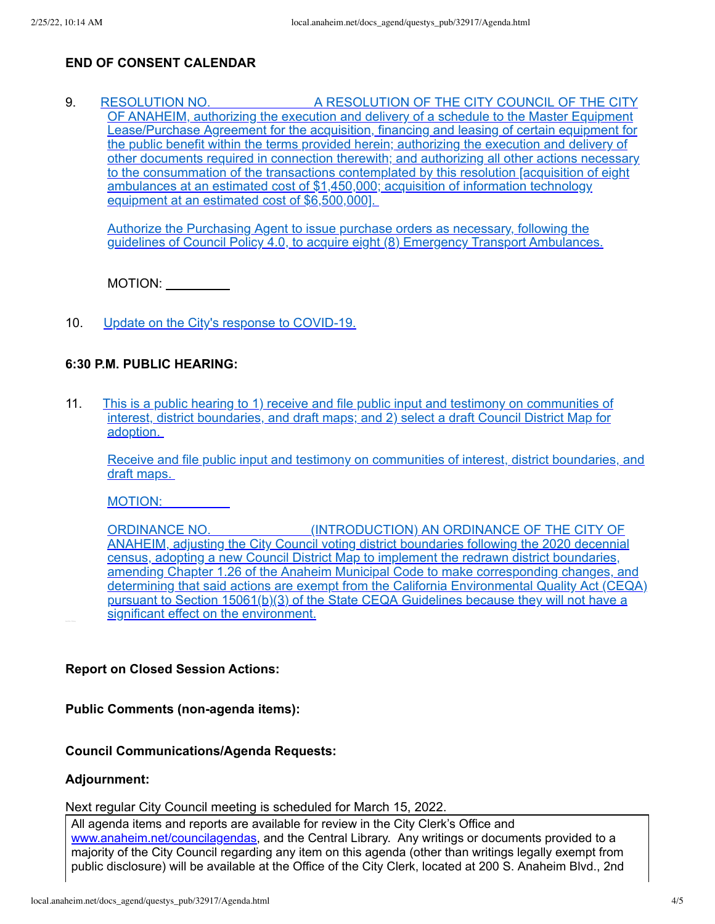# **END OF CONSENT CALENDAR**

9. RESOLUTION NO. A RESOLUTION OF THE CITY COUNCIL OF THE CITY OF ANAHEIM, authorizing the execution and delivery of a schedule to the Master Equipment [Lease/Purchase](http://local.anaheim.net/docs_agend/questys_pub/32917/32947/32949/33053/Documents.htm) Agreement for the acquisition, financing and leasing of certain equipment for the public benefit within the terms provided herein; authorizing the execution and delivery of other documents required in connection therewith; and authorizing all other actions necessary to the consummation of the transactions contemplated by this resolution [acquisition of eight ambulances at an estimated cost of \$1,450,000; acquisition of information technology equipment at an estimated cost of \$6,500,000].

Authorize the Purchasing Agent to issue purchase orders as necessary, following the guidelines of Council Policy 4.0, to acquire eight (8) Emergency Transport Ambulances.

MOTION:  $\_\_\_\_\_\_\_\_\_\_\_\_\_\_\_$ 

10. Update on the City's response to [COVID-19.](http://local.anaheim.net/docs_agend/questys_pub/32917/32947/32949/33060/Documents.htm)

#### **6:30 P.M. PUBLIC HEARING:**

11. This is a public hearing to 1) receive and file public input and testimony on communities of interest, district boundaries, and draft maps; and 2) select a draft Council District Map for adoption.

Receive and file public input and testimony on communities of interest, district boundaries, and draft maps.

MOTION:

ORDINANCE NO. [\(INTRODUCTION\)](http://local.anaheim.net/docs_agend/questys_pub/32917/32947/32950/33061/Documents.htm) AN ORDINANCE OF THE CITY OF ANAHEIM, adjusting the City Council voting district boundaries following the 2020 decennial census, adopting a new Council District Map to implement the redrawn district boundaries, amending Chapter 1.26 of the Anaheim Municipal Code to make corresponding changes, and determining that said actions are exempt from the California Environmental Quality Act (CEQA) pursuant to Section 15061(b)(3) of the State CEQA Guidelines because they will not have a significant effect on the environment.

### **Report on Closed Session Actions:**

**Public Comments (non-agenda items):**

#### **Council Communications/Agenda Requests:**

#### **Adjournment:**

Next regular City Council meeting is scheduled for March 15, 2022.

All agenda items and reports are available for review in the City Clerk's Office and [www.anaheim.net/councilagendas,](http://www.anaheim.net/councilagendas) and the Central Library. Any writings or documents provided to a majority of the City Council regarding any item on this agenda (other than writings legally exempt from public disclosure) will be available at the Office of the City Clerk, located at 200 S. Anaheim Blvd., 2nd